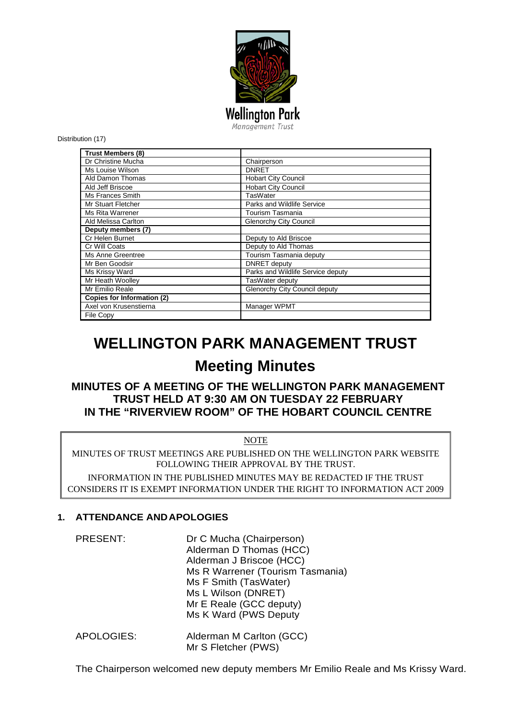

Distribution (17)

| <b>Trust Members (8)</b>          |                                   |
|-----------------------------------|-----------------------------------|
| Dr Christine Mucha                | Chairperson                       |
| Ms Louise Wilson                  | <b>DNRET</b>                      |
| Ald Damon Thomas                  | <b>Hobart City Council</b>        |
| Ald Jeff Briscoe                  | <b>Hobart City Council</b>        |
| Ms Frances Smith                  | TasWater                          |
| Mr Stuart Fletcher                | Parks and Wildlife Service        |
| <b>Ms Rita Warrener</b>           | Tourism Tasmania                  |
| Ald Melissa Carlton               | <b>Glenorchy City Council</b>     |
| Deputy members (7)                |                                   |
| Cr Helen Burnet                   | Deputy to Ald Briscoe             |
| Cr Will Coats                     | Deputy to Ald Thomas              |
| Ms Anne Greentree                 | Tourism Tasmania deputy           |
| Mr Ben Goodsir                    | DNRET deputy                      |
| Ms Krissy Ward                    | Parks and Wildlife Service deputy |
| Mr Heath Woolley                  | TasWater deputy                   |
| Mr Emilio Reale                   | Glenorchy City Council deputy     |
| <b>Copies for Information (2)</b> |                                   |
| Axel von Krusenstierna            | Manager WPMT                      |
| File Copy                         |                                   |

# **WELLINGTON PARK MANAGEMENT TRUST**

## **Meeting Minutes**

## **MINUTES OF A MEETING OF THE WELLINGTON PARK MANAGEMENT TRUST HELD AT 9:30 AM ON TUESDAY 22 FEBRUARY IN THE "RIVERVIEW ROOM" OF THE HOBART COUNCIL CENTRE**

#### NOTE

MINUTES OF TRUST MEETINGS ARE PUBLISHED ON THE WELLINGTON PARK WEBSITE FOLLOWING THEIR APPROVAL BY THE TRUST.

INFORMATION IN THE PUBLISHED MINUTES MAY BE REDACTED IF THE TRUST CONSIDERS IT IS EXEMPT INFORMATION UNDER THE RIGHT TO INFORMATION ACT 2009

#### **1. ATTENDANCE ANDAPOLOGIES**

| <b>PRESENT:</b> | Dr C Mucha (Chairperson)         |
|-----------------|----------------------------------|
|                 | Alderman D Thomas (HCC)          |
|                 | Alderman J Briscoe (HCC)         |
|                 | Ms R Warrener (Tourism Tasmania) |
|                 | Ms F Smith (TasWater)            |
|                 | Ms L Wilson (DNRET)              |
|                 | Mr E Reale (GCC deputy)          |
|                 | Ms K Ward (PWS Deputy            |
|                 |                                  |

APOLOGIES: Alderman M Carlton (GCC) Mr S Fletcher (PWS)

The Chairperson welcomed new deputy members Mr Emilio Reale and Ms Krissy Ward.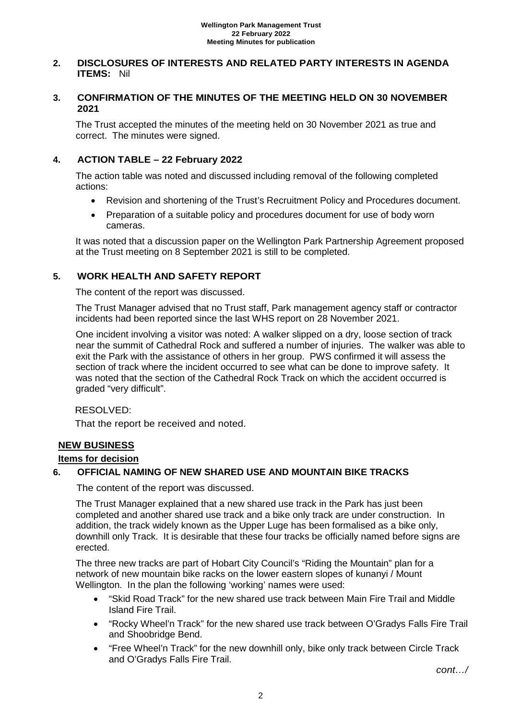#### **2. DISCLOSURES OF INTERESTS AND RELATED PARTY INTERESTS IN AGENDA ITEMS:** Nil

#### **3. CONFIRMATION OF THE MINUTES OF THE MEETING HELD ON 30 NOVEMBER 2021**

The Trust accepted the minutes of the meeting held on 30 November 2021 as true and correct. The minutes were signed.

## **4. ACTION TABLE – 22 February 2022**

The action table was noted and discussed including removal of the following completed actions:

- Revision and shortening of the Trust's Recruitment Policy and Procedures document.
- Preparation of a suitable policy and procedures document for use of body worn cameras.

It was noted that a discussion paper on the Wellington Park Partnership Agreement proposed at the Trust meeting on 8 September 2021 is still to be completed.

## **5. WORK HEALTH AND SAFETY REPORT**

The content of the report was discussed.

The Trust Manager advised that no Trust staff, Park management agency staff or contractor incidents had been reported since the last WHS report on 28 November 2021.

One incident involving a visitor was noted: A walker slipped on a dry, loose section of track near the summit of Cathedral Rock and suffered a number of injuries. The walker was able to exit the Park with the assistance of others in her group. PWS confirmed it will assess the section of track where the incident occurred to see what can be done to improve safety. It was noted that the section of the Cathedral Rock Track on which the accident occurred is graded "very difficult".

RESOLVED:

That the report be received and noted.

## **NEW BUSINESS**

#### **Items for decision**

## **6. OFFICIAL NAMING OF NEW SHARED USE AND MOUNTAIN BIKE TRACKS**

The content of the report was discussed.

The Trust Manager explained that a new shared use track in the Park has just been completed and another shared use track and a bike only track are under construction. In addition, the track widely known as the Upper Luge has been formalised as a bike only, downhill only Track. It is desirable that these four tracks be officially named before signs are erected.

The three new tracks are part of Hobart City Council's "Riding the Mountain" plan for a network of new mountain bike racks on the lower eastern slopes of kunanyi / Mount Wellington. In the plan the following 'working' names were used:

- "Skid Road Track" for the new shared use track between Main Fire Trail and Middle Island Fire Trail.
- "Rocky Wheel'n Track" for the new shared use track between O'Gradys Falls Fire Trail and Shoobridge Bend.
- "Free Wheel'n Track" for the new downhill only, bike only track between Circle Track and O'Gradys Falls Fire Trail.

*cont…/*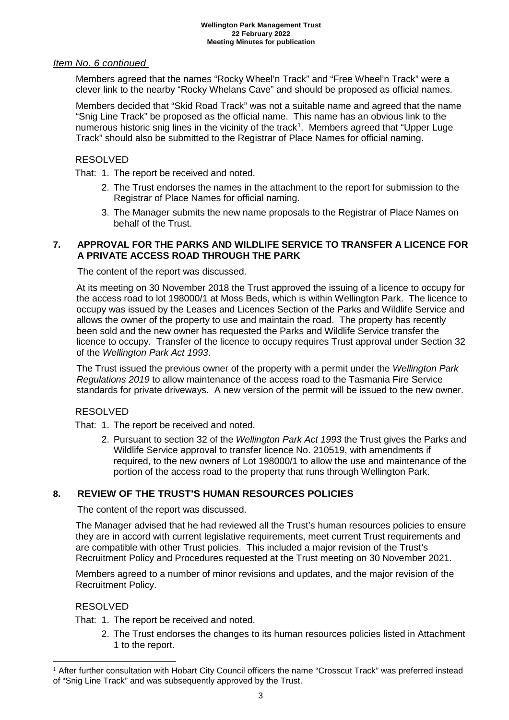## *Item No. 6 continued*

Members agreed that the names "Rocky Wheel'n Track" and "Free Wheel'n Track" were a clever link to the nearby "Rocky Whelans Cave" and should be proposed as official names.

Members decided that "Skid Road Track" was not a suitable name and agreed that the name "Snig Line Track" be proposed as the official name. This name has an obvious link to the numerous historic snig lines in the vicinity of the track<sup>[1](#page-2-0)</sup>. Members agreed that "Upper Luge Track" should also be submitted to the Registrar of Place Names for official naming.

## RESOLVED

That: 1. The report be received and noted.

- 2. The Trust endorses the names in the attachment to the report for submission to the Registrar of Place Names for official naming.
- 3. The Manager submits the new name proposals to the Registrar of Place Names on behalf of the Trust.

## **7. APPROVAL FOR THE PARKS AND WILDLIFE SERVICE TO TRANSFER A LICENCE FOR A PRIVATE ACCESS ROAD THROUGH THE PARK**

The content of the report was discussed.

At its meeting on 30 November 2018 the Trust approved the issuing of a licence to occupy for the access road to lot 198000/1 at Moss Beds, which is within Wellington Park. The licence to occupy was issued by the Leases and Licences Section of the Parks and Wildlife Service and allows the owner of the property to use and maintain the road. The property has recently been sold and the new owner has requested the Parks and Wildlife Service transfer the licence to occupy. Transfer of the licence to occupy requires Trust approval under Section 32 of the *Wellington Park Act 1993*.

The Trust issued the previous owner of the property with a permit under the *Wellington Park Regulations 2019* to allow maintenance of the access road to the Tasmania Fire Service standards for private driveways. A new version of the permit will be issued to the new owner.

#### RESOLVED

That: 1. The report be received and noted.

2. Pursuant to section 32 of the *Wellington Park Act 1993* the Trust gives the Parks and Wildlife Service approval to transfer licence No. 210519, with amendments if required, to the new owners of Lot 198000/1 to allow the use and maintenance of the portion of the access road to the property that runs through Wellington Park.

## **8. REVIEW OF THE TRUST'S HUMAN RESOURCES POLICIES**

The content of the report was discussed.

The Manager advised that he had reviewed all the Trust's human resources policies to ensure they are in accord with current legislative requirements, meet current Trust requirements and are compatible with other Trust policies. This included a major revision of the Trust's Recruitment Policy and Procedures requested at the Trust meeting on 30 November 2021.

Members agreed to a number of minor revisions and updates, and the major revision of the Recruitment Policy.

#### RESOLVED

That: 1. The report be received and noted.

2. The Trust endorses the changes to its human resources policies listed in Attachment 1 to the report.

<span id="page-2-0"></span> <sup>1</sup> After further consultation with Hobart City Council officers the name "Crosscut Track" was preferred instead of "Snig Line Track" and was subsequently approved by the Trust.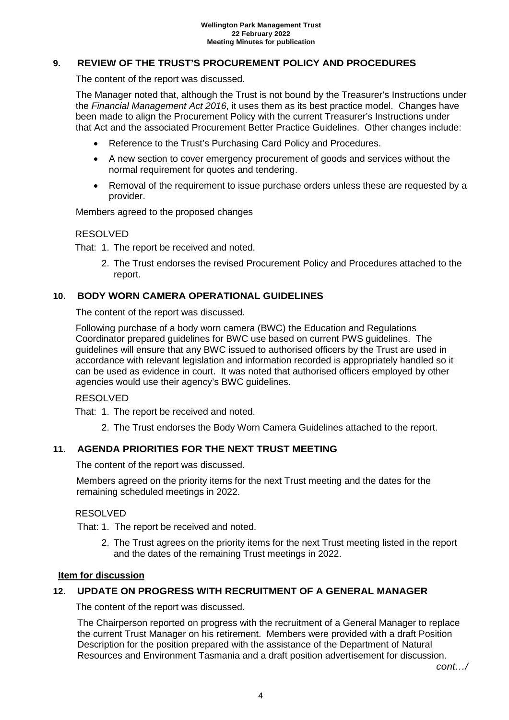## **9. REVIEW OF THE TRUST'S PROCUREMENT POLICY AND PROCEDURES**

The content of the report was discussed.

The Manager noted that, although the Trust is not bound by the Treasurer's Instructions under the *Financial Management Act 2016*, it uses them as its best practice model. Changes have been made to align the Procurement Policy with the current Treasurer's Instructions under that Act and the associated Procurement Better Practice Guidelines. Other changes include:

- Reference to the Trust's Purchasing Card Policy and Procedures.
- A new section to cover emergency procurement of goods and services without the normal requirement for quotes and tendering.
- Removal of the requirement to issue purchase orders unless these are requested by a provider.

Members agreed to the proposed changes

#### RESOLVED

That: 1. The report be received and noted.

2. The Trust endorses the revised Procurement Policy and Procedures attached to the report.

#### **10. BODY WORN CAMERA OPERATIONAL GUIDELINES**

The content of the report was discussed.

Following purchase of a body worn camera (BWC) the Education and Regulations Coordinator prepared guidelines for BWC use based on current PWS guidelines. The guidelines will ensure that any BWC issued to authorised officers by the Trust are used in accordance with relevant legislation and information recorded is appropriately handled so it can be used as evidence in court. It was noted that authorised officers employed by other agencies would use their agency's BWC guidelines.

#### RESOLVED

That: 1. The report be received and noted.

2. The Trust endorses the Body Worn Camera Guidelines attached to the report.

#### **11. AGENDA PRIORITIES FOR THE NEXT TRUST MEETING**

The content of the report was discussed.

Members agreed on the priority items for the next Trust meeting and the dates for the remaining scheduled meetings in 2022.

#### RESOLVED

That: 1. The report be received and noted.

2. The Trust agrees on the priority items for the next Trust meeting listed in the report and the dates of the remaining Trust meetings in 2022.

#### **Item for discussion**

#### **12. UPDATE ON PROGRESS WITH RECRUITMENT OF A GENERAL MANAGER**

The content of the report was discussed.

The Chairperson reported on progress with the recruitment of a General Manager to replace the current Trust Manager on his retirement. Members were provided with a draft Position Description for the position prepared with the assistance of the Department of Natural Resources and Environment Tasmania and a draft position advertisement for discussion.